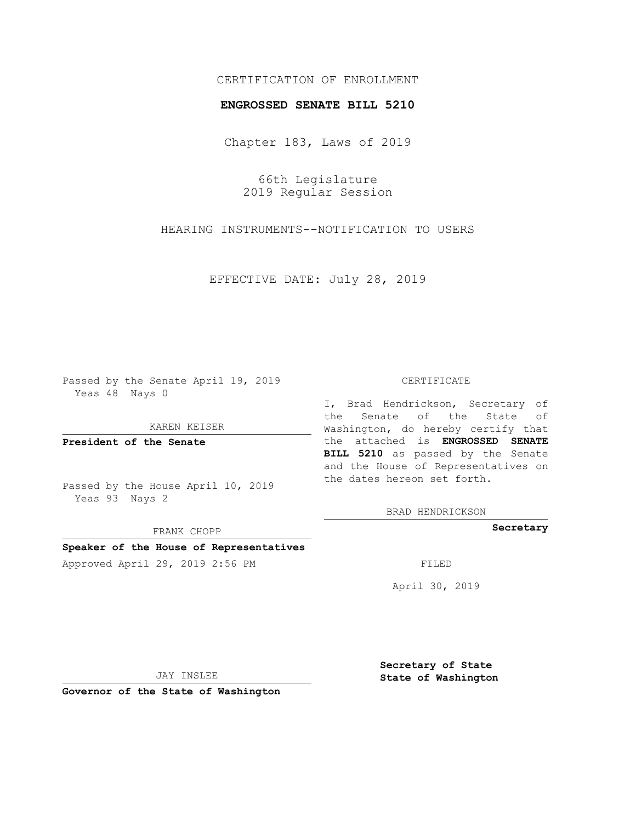## CERTIFICATION OF ENROLLMENT

### **ENGROSSED SENATE BILL 5210**

Chapter 183, Laws of 2019

66th Legislature 2019 Regular Session

HEARING INSTRUMENTS--NOTIFICATION TO USERS

EFFECTIVE DATE: July 28, 2019

Passed by the Senate April 19, 2019 Yeas 48 Nays 0

KAREN KEISER

**President of the Senate**

Passed by the House April 10, 2019 Yeas 93 Nays 2

FRANK CHOPP

# **Speaker of the House of Representatives**

Approved April 29, 2019 2:56 PM FILED

#### CERTIFICATE

I, Brad Hendrickson, Secretary of the Senate of the State of Washington, do hereby certify that the attached is **ENGROSSED SENATE BILL 5210** as passed by the Senate and the House of Representatives on the dates hereon set forth.

BRAD HENDRICKSON

**Secretary**

April 30, 2019

JAY INSLEE

**Governor of the State of Washington**

**Secretary of State State of Washington**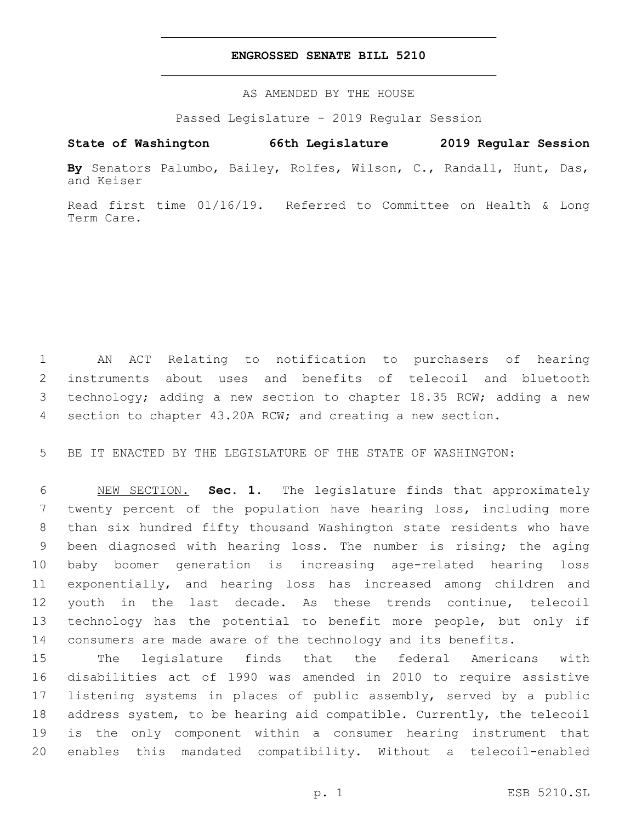### **ENGROSSED SENATE BILL 5210**

AS AMENDED BY THE HOUSE

Passed Legislature - 2019 Regular Session

# **State of Washington 66th Legislature 2019 Regular Session**

**By** Senators Palumbo, Bailey, Rolfes, Wilson, C., Randall, Hunt, Das, and Keiser

Read first time 01/16/19. Referred to Committee on Health & Long Term Care.

 AN ACT Relating to notification to purchasers of hearing instruments about uses and benefits of telecoil and bluetooth technology; adding a new section to chapter 18.35 RCW; adding a new section to chapter 43.20A RCW; and creating a new section.

BE IT ENACTED BY THE LEGISLATURE OF THE STATE OF WASHINGTON:

 NEW SECTION. **Sec. 1.** The legislature finds that approximately twenty percent of the population have hearing loss, including more than six hundred fifty thousand Washington state residents who have been diagnosed with hearing loss. The number is rising; the aging baby boomer generation is increasing age-related hearing loss exponentially, and hearing loss has increased among children and youth in the last decade. As these trends continue, telecoil technology has the potential to benefit more people, but only if consumers are made aware of the technology and its benefits.

 The legislature finds that the federal Americans with disabilities act of 1990 was amended in 2010 to require assistive listening systems in places of public assembly, served by a public address system, to be hearing aid compatible. Currently, the telecoil is the only component within a consumer hearing instrument that enables this mandated compatibility. Without a telecoil-enabled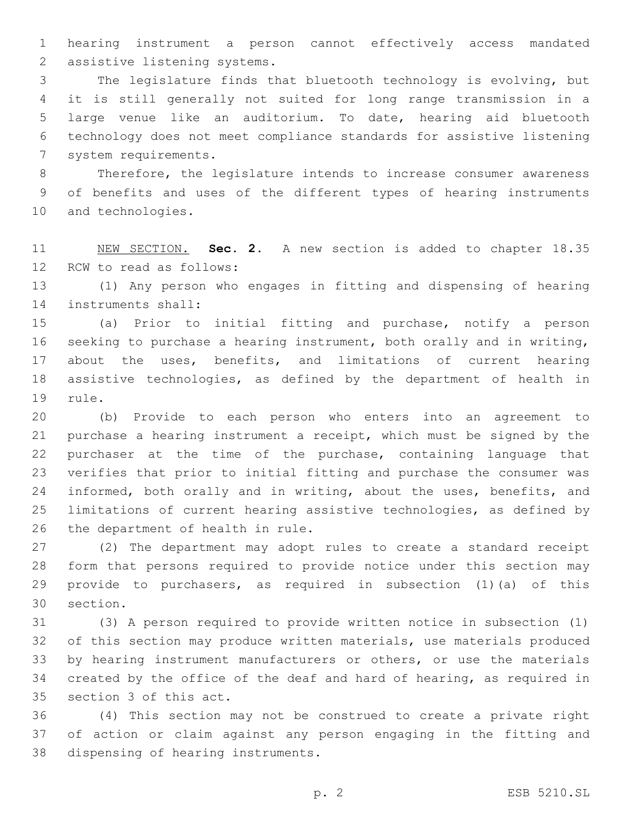hearing instrument a person cannot effectively access mandated 2 assistive listening systems.

 The legislature finds that bluetooth technology is evolving, but it is still generally not suited for long range transmission in a large venue like an auditorium. To date, hearing aid bluetooth technology does not meet compliance standards for assistive listening 7 system requirements.

 Therefore, the legislature intends to increase consumer awareness of benefits and uses of the different types of hearing instruments 10 and technologies.

 NEW SECTION. **Sec. 2.** A new section is added to chapter 18.35 12 RCW to read as follows:

 (1) Any person who engages in fitting and dispensing of hearing 14 instruments shall:

 (a) Prior to initial fitting and purchase, notify a person seeking to purchase a hearing instrument, both orally and in writing, about the uses, benefits, and limitations of current hearing assistive technologies, as defined by the department of health in 19 rule.

 (b) Provide to each person who enters into an agreement to purchase a hearing instrument a receipt, which must be signed by the purchaser at the time of the purchase, containing language that verifies that prior to initial fitting and purchase the consumer was 24 informed, both orally and in writing, about the uses, benefits, and limitations of current hearing assistive technologies, as defined by 26 the department of health in rule.

 (2) The department may adopt rules to create a standard receipt form that persons required to provide notice under this section may provide to purchasers, as required in subsection (1)(a) of this 30 section.

 (3) A person required to provide written notice in subsection (1) of this section may produce written materials, use materials produced by hearing instrument manufacturers or others, or use the materials created by the office of the deaf and hard of hearing, as required in 35 section 3 of this act.

 (4) This section may not be construed to create a private right of action or claim against any person engaging in the fitting and 38 dispensing of hearing instruments.